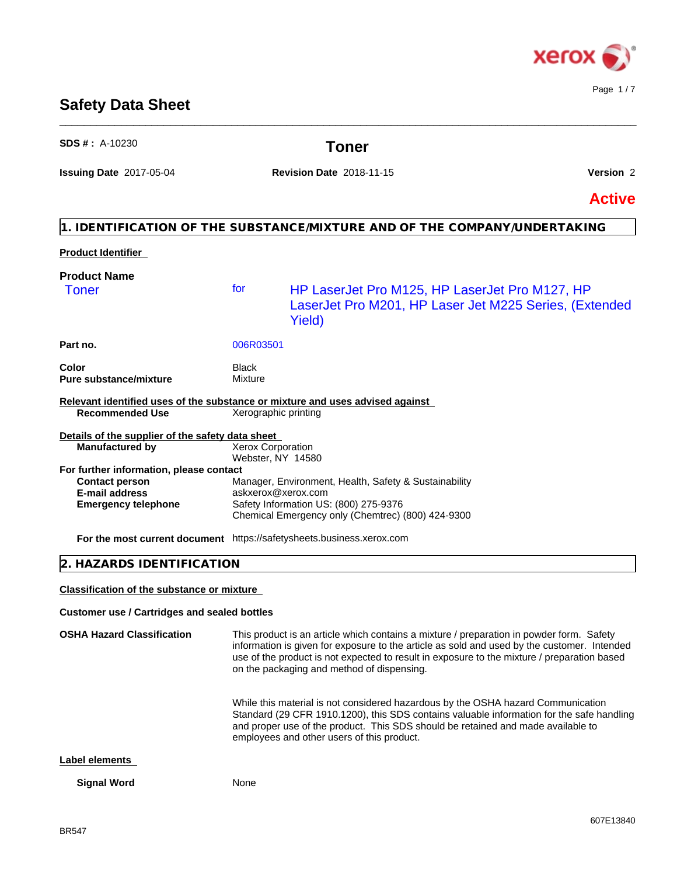

Page 1 / 7

# **Safety Data Sheet**

| <b>SDS #</b> : $A-10230$                                                                                         |                                        | Toner                                                                                                                                                                                                                                                                                                                                |               |
|------------------------------------------------------------------------------------------------------------------|----------------------------------------|--------------------------------------------------------------------------------------------------------------------------------------------------------------------------------------------------------------------------------------------------------------------------------------------------------------------------------------|---------------|
| Issuing Date 2017-05-04                                                                                          |                                        | <b>Revision Date 2018-11-15</b>                                                                                                                                                                                                                                                                                                      | Version 2     |
|                                                                                                                  |                                        |                                                                                                                                                                                                                                                                                                                                      | <b>Active</b> |
|                                                                                                                  |                                        | 1. IDENTIFICATION OF THE SUBSTANCE/MIXTURE AND OF THE COMPANY/UNDERTAKING                                                                                                                                                                                                                                                            |               |
| <b>Product Identifier</b>                                                                                        |                                        |                                                                                                                                                                                                                                                                                                                                      |               |
| <b>Product Name</b><br><b>Toner</b>                                                                              | for                                    | HP LaserJet Pro M125, HP LaserJet Pro M127, HP<br>LaserJet Pro M201, HP Laser Jet M225 Series, (Extended<br>Yield)                                                                                                                                                                                                                   |               |
| Part no.                                                                                                         | 006R03501                              |                                                                                                                                                                                                                                                                                                                                      |               |
| Color<br><b>Pure substance/mixture</b>                                                                           | Black<br>Mixture                       |                                                                                                                                                                                                                                                                                                                                      |               |
| Relevant identified uses of the substance or mixture and uses advised against<br><b>Recommended Use</b>          | Xerographic printing                   |                                                                                                                                                                                                                                                                                                                                      |               |
| Details of the supplier of the safety data sheet<br><b>Manufactured by</b>                                       | Xerox Corporation<br>Webster, NY 14580 |                                                                                                                                                                                                                                                                                                                                      |               |
| For further information, please contact<br><b>Contact person</b><br>E-mail address<br><b>Emergency telephone</b> |                                        | Manager, Environment, Health, Safety & Sustainability<br>askxerox@xerox.com<br>Safety Information US: (800) 275-9376<br>Chemical Emergency only (Chemtrec) (800) 424-9300                                                                                                                                                            |               |
| For the most current document https://safetysheets.business.xerox.com                                            |                                        |                                                                                                                                                                                                                                                                                                                                      |               |
| 2. HAZARDS IDENTIFICATION                                                                                        |                                        |                                                                                                                                                                                                                                                                                                                                      |               |
| Classification of the substance or mixture                                                                       |                                        |                                                                                                                                                                                                                                                                                                                                      |               |
| <b>Customer use / Cartridges and sealed bottles</b>                                                              |                                        |                                                                                                                                                                                                                                                                                                                                      |               |
| <b>OSHA Hazard Classification</b>                                                                                |                                        | This product is an article which contains a mixture / preparation in powder form. Safety<br>information is given for exposure to the article as sold and used by the customer. Intended<br>use of the product is not expected to result in exposure to the mixture / preparation based<br>on the packaging and method of dispensing. |               |
|                                                                                                                  |                                        | While this material is not considered hazardous by the OSHA hazard Communication<br>Standard (29 CFR 1910.1200), this SDS contains valuable information for the safe handling<br>and proper use of the product. This SDS should be retained and made available to<br>employees and other users of this product.                      |               |

**Label elements**

**Signal Word** None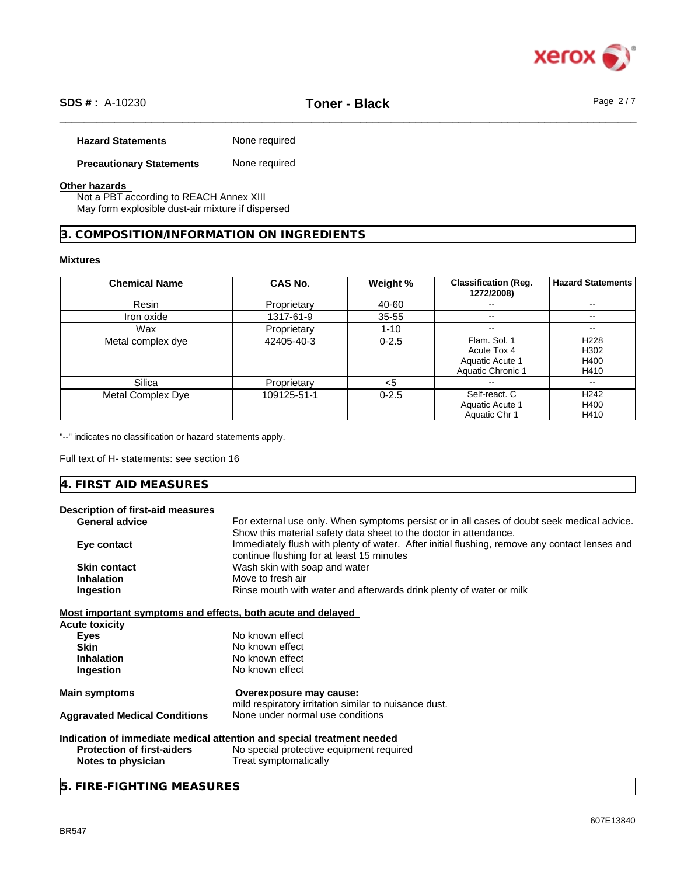

# \_\_\_\_\_\_\_\_\_\_\_\_\_\_\_\_\_\_\_\_\_\_\_\_\_\_\_\_\_\_\_\_\_\_\_\_\_\_\_\_\_\_\_\_\_\_\_\_\_\_\_\_\_\_\_\_\_\_\_\_\_\_\_\_\_\_\_\_\_\_\_\_\_\_\_\_\_\_\_\_\_\_\_\_\_\_\_\_\_\_\_\_\_\_ **SDS # :** A-10230 **Toner - Black** Page 2 / 7

#### **Hazard Statements** None required

**Precautionary Statements** None required

#### **Other hazards**

Not a PBT according to REACH Annex XIII May form explosible dust-air mixture if dispersed

## **3. COMPOSITION/INFORMATION ON INGREDIENTS**

#### **Mixtures**

| <b>Chemical Name</b> | CAS No.     | Weight %  | <b>Classification (Reg.</b><br>1272/2008) | <b>Hazard Statements</b> |
|----------------------|-------------|-----------|-------------------------------------------|--------------------------|
| Resin                | Proprietary | 40-60     | $-$                                       | --                       |
| Iron oxide           | 1317-61-9   | $35 - 55$ | $\overline{\phantom{m}}$                  | $- -$                    |
| Wax                  | Proprietary | $1 - 10$  | $\overline{\phantom{m}}$                  | $- -$                    |
| Metal complex dye    | 42405-40-3  | $0 - 2.5$ | Flam. Sol. 1<br>Acute Tox 4               | H <sub>228</sub><br>H302 |
|                      |             |           | Aquatic Acute 1<br>Aquatic Chronic 1      | H400<br>H410             |
| <b>Silica</b>        | Proprietary | <5        | --                                        | $\sim$                   |
| Metal Complex Dye    | 109125-51-1 | $0 - 2.5$ | Self-react. C                             | H <sub>242</sub>         |
|                      |             |           | Aquatic Acute 1                           | H400                     |
|                      |             |           | Aquatic Chr 1                             | H410                     |

"--" indicates no classification or hazard statements apply.

Full text of H- statements: see section 16

|--|

# **Description of first-aid measures**

| <b>General advice</b>                                       | For external use only. When symptoms persist or in all cases of doubt seek medical advice.    |
|-------------------------------------------------------------|-----------------------------------------------------------------------------------------------|
|                                                             | Show this material safety data sheet to the doctor in attendance.                             |
| Eye contact                                                 | Immediately flush with plenty of water. After initial flushing, remove any contact lenses and |
|                                                             | continue flushing for at least 15 minutes                                                     |
| <b>Skin contact</b>                                         | Wash skin with soap and water                                                                 |
| <b>Inhalation</b>                                           | Move to fresh air                                                                             |
| Ingestion                                                   | Rinse mouth with water and afterwards drink plenty of water or milk                           |
| Most important symptoms and effects, both acute and delayed |                                                                                               |
| <b>Acute toxicity</b>                                       |                                                                                               |
| <b>Eyes</b>                                                 | No known effect                                                                               |
| <b>Skin</b>                                                 | No known effect                                                                               |
| <b>Inhalation</b>                                           | No known effect                                                                               |
| Ingestion                                                   | No known effect                                                                               |
| <b>Main symptoms</b>                                        | Overexposure may cause:                                                                       |
|                                                             | mild respiratory irritation similar to nuisance dust.                                         |
| <b>Aggravated Medical Conditions</b>                        | None under normal use conditions                                                              |
|                                                             | Indication of immediate medical attention and special treatment needed                        |
| <b>Protection of first-aiders</b>                           | No special protective equipment required                                                      |
| Notes to physician                                          | Treat symptomatically                                                                         |
|                                                             |                                                                                               |

**5. FIRE-FIGHTING MEASURES**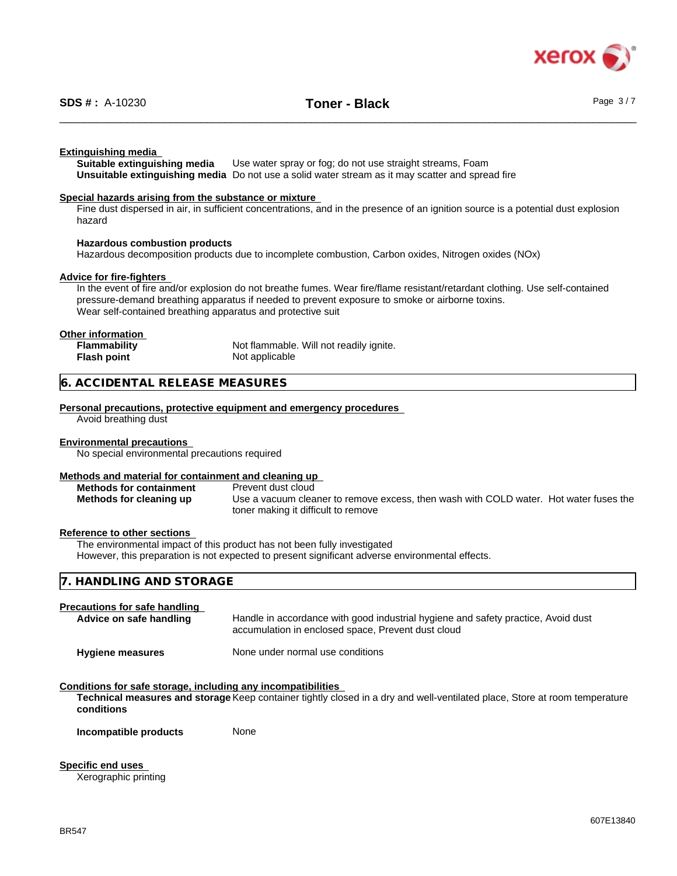

#### **Extinguishing media**

**Suitable extinguishing media** Use water spray or fog; do not use straight streams, Foam **Unsuitable extinguishing media** Do not use a solid water stream as it may scatterand spread fire

#### **Special hazards arising from the substance or mixture**

Fine dust dispersed in air, in sufficient concentrations, and in the presence of an ignition source is a potential dust explosion hazard

#### **Hazardous combustion products**

Hazardous decomposition products due to incomplete combustion, Carbon oxides, Nitrogen oxides (NOx)

#### **Advice for fire-fighters**

In the event of fire and/or explosion do not breathe fumes. Wear fire/flame resistant/retardant clothing. Use self-contained pressure-demand breathing apparatus if needed to prevent exposure to smoke or airborne toxins. Wear self-contained breathing apparatus and protective suit

# **Other information**

**Flash point** Not applicable

Not flammable. Will not readily ignite.

## **6. ACCIDENTAL RELEASE MEASURES**

#### **Personal precautions, protective equipment and emergency procedures**

Avoid breathing dust

#### **Environmental precautions**

No special environmental precautions required

#### **Methods and material for containment and cleaning up**

**Methods for containment** Prevent dust cloud

**Methods for cleaning up** Use a vacuum cleaner to remove excess, then wash with COLD water. Hot water fuses the toner making it difficult to remove

#### **Reference to other sections**

The environmental impact of this product has not been fully investigated However, this preparation is not expected to present significant adverse environmental effects.

| 7. HANDLING AND STORAGE              |  |
|--------------------------------------|--|
| <b>Precautions for safe handling</b> |  |

| Advice on safe handling | Handle in accordance with good industrial hygiene and safety practice, Avoid dust<br>accumulation in enclosed space, Prevent dust cloud |
|-------------------------|-----------------------------------------------------------------------------------------------------------------------------------------|
| <b>Hygiene measures</b> | None under normal use conditions                                                                                                        |

#### **Conditions for safe storage, including any incompatibilities**

**Technical measures and storage** Keep container tightly closed in a dry and well-ventilated place, Store at room temperature **conditions**

**Incompatible products** None

**Specific end uses**

Xerographic printing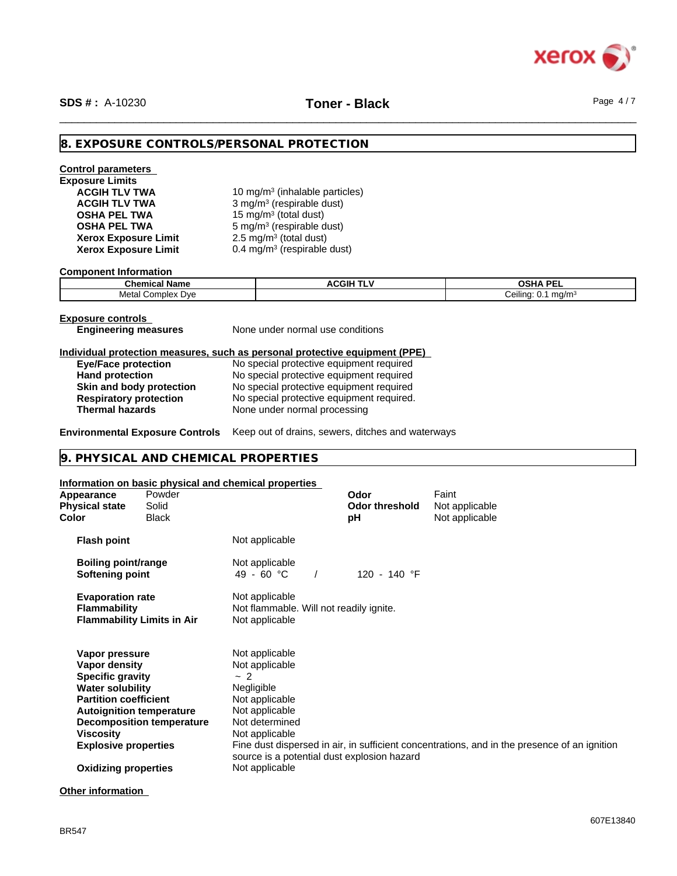

# \_\_\_\_\_\_\_\_\_\_\_\_\_\_\_\_\_\_\_\_\_\_\_\_\_\_\_\_\_\_\_\_\_\_\_\_\_\_\_\_\_\_\_\_\_\_\_\_\_\_\_\_\_\_\_\_\_\_\_\_\_\_\_\_\_\_\_\_\_\_\_\_\_\_\_\_\_\_\_\_\_\_\_\_\_\_\_\_\_\_\_\_\_\_ **SDS # :** A-10230 **Toner - Black** Page 4 / 7

#### **8. EXPOSURE CONTROLS/PERSONAL PROTECTION**

#### **Control parameters Exposure Limits ACGIH TLV TWA** 10 mg/m<sup>3</sup> (inhalable particles) **ACGIH TLV TWA** 3 mg/m<sup>3</sup> (respirable dust) **OSHA PEL TWA** 15 mg/m<sup>3</sup> (total dust) **OSHA PEL TWA** 5 mg/m<sup>3</sup> (respirable dust) **Xerox Exposure Limit<br>Xerox Exposure Limit**  $2.5 \text{ mg/m}^3$  (total dust) **Xerox Exposure Limit** 0.4 mg/m<sup>3</sup> (respirable dust)

**Component Information**

| . .<br>Chemical<br><b>Name</b>            | ACGIH <sup>-</sup><br>. | <b>OSHA PEL</b>                        |
|-------------------------------------------|-------------------------|----------------------------------------|
| Metal<br>`omnlex .<br>Dve<br><b>IDIEX</b> |                         | <br>Ceiling<br>ma/m <sup>3</sup><br>U. |

**Exposure controls**

**Engineering measures** None under normal use conditions

#### **Individual protection measures, such as personal protective equipment (PPE)**

| <b>Eye/Face protection</b>    | No special protective equipment required  |
|-------------------------------|-------------------------------------------|
| <b>Hand protection</b>        | No special protective equipment required  |
| Skin and body protection      | No special protective equipment required  |
| <b>Respiratory protection</b> | No special protective equipment required. |
| <b>Thermal hazards</b>        | None under normal processing              |

**Environmental Exposure Controls** Keep out of drains, sewers, ditches and waterways

#### **9. PHYSICAL AND CHEMICAL PROPERTIES**

#### **Information on basic physical and chemical properties**

| Appearance<br><b>Physical state</b><br>Color                                                                                                                                                         | Powder<br>Solid<br>Black          |                                                                                                                                                                             | Odor<br><b>Odor threshold</b><br>рH | Faint<br>Not applicable<br>Not applicable                                                    |
|------------------------------------------------------------------------------------------------------------------------------------------------------------------------------------------------------|-----------------------------------|-----------------------------------------------------------------------------------------------------------------------------------------------------------------------------|-------------------------------------|----------------------------------------------------------------------------------------------|
| <b>Flash point</b>                                                                                                                                                                                   |                                   | Not applicable                                                                                                                                                              |                                     |                                                                                              |
| <b>Boiling point/range</b><br>Softening point                                                                                                                                                        |                                   | Not applicable<br>49 - 60 °C                                                                                                                                                | 120 - 140 °F                        |                                                                                              |
| <b>Evaporation rate</b><br>Flammability                                                                                                                                                              | <b>Flammability Limits in Air</b> | Not applicable<br>Not flammable. Will not readily ignite.<br>Not applicable                                                                                                 |                                     |                                                                                              |
| Vapor pressure<br>Vapor density<br><b>Specific gravity</b><br><b>Water solubility</b><br><b>Partition coefficient</b><br><b>Autoignition temperature</b><br>Viscosity<br><b>Explosive properties</b> | <b>Decomposition temperature</b>  | Not applicable<br>Not applicable<br>~2<br>Negligible<br>Not applicable<br>Not applicable<br>Not determined<br>Not applicable<br>source is a potential dust explosion hazard |                                     | Fine dust dispersed in air, in sufficient concentrations, and in the presence of an ignition |
| <b>Oxidizing properties</b>                                                                                                                                                                          |                                   | Not applicable                                                                                                                                                              |                                     |                                                                                              |
|                                                                                                                                                                                                      |                                   |                                                                                                                                                                             |                                     |                                                                                              |

**Other information**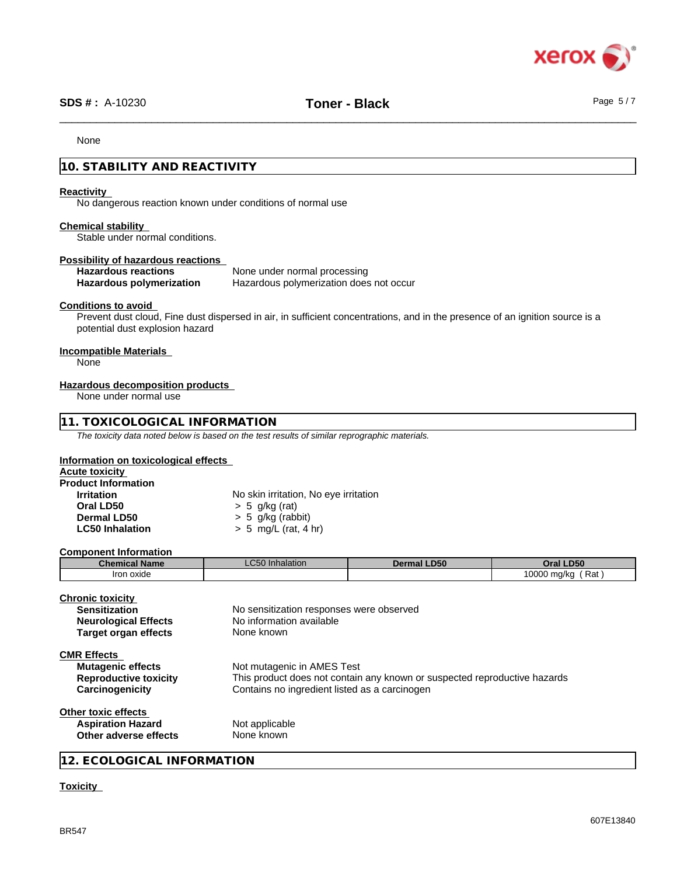

# \_\_\_\_\_\_\_\_\_\_\_\_\_\_\_\_\_\_\_\_\_\_\_\_\_\_\_\_\_\_\_\_\_\_\_\_\_\_\_\_\_\_\_\_\_\_\_\_\_\_\_\_\_\_\_\_\_\_\_\_\_\_\_\_\_\_\_\_\_\_\_\_\_\_\_\_\_\_\_\_\_\_\_\_\_\_\_\_\_\_\_\_\_\_ **SDS # :** A-10230 **Toner - Black** Page 5 / 7

None

# **10. STABILITY AND REACTIVITY**

#### **Reactivity**

No dangerous reaction known under conditions of normal use

#### **Chemical stability**

Stable under normal conditions.

#### **Possibility of hazardous reactions**

| <b>Hazardous reactions</b> | None under normal processing            |
|----------------------------|-----------------------------------------|
| Hazardous polymerization   | Hazardous polymerization does not occur |

#### **Conditions to avoid**

Prevent dust cloud, Fine dust dispersed in air, in sufficient concentrations, and in the presence of an ignition source is a potential dust explosion hazard

#### **Incompatible Materials**

None

#### **Hazardous decomposition products**

None under normal use

#### **11. TOXICOLOGICAL INFORMATION**

*The toxicity data noted below is based on the test results of similar reprographic materials.*

#### **Information on toxicological effects**

| <b>Acute toxicity</b>      |                                       |  |
|----------------------------|---------------------------------------|--|
| <b>Product Information</b> |                                       |  |
| <b>Irritation</b>          | No skin irritation, No eye irritation |  |
| Oral LD50                  | $> 5$ g/kg (rat)                      |  |
| Dermal LD50                | $> 5$ g/kg (rabbit)                   |  |
| <b>LC50 Inhalation</b>     | $> 5$ mg/L (rat, 4 hr)                |  |

#### **Component Information**

| <b>Chemical Name</b> | $\sim$ $\sim$ $\sim$<br>LVJV | <b>LD50</b><br>Dermal | <b>D50</b><br><b>Dral</b>        |
|----------------------|------------------------------|-----------------------|----------------------------------|
| oxide ר<br>Iron      |                              |                       | Rat<br>0000<br>) ma/ka<br>$\sim$ |

| Chronic toxicitv<br><b>Sensitization</b><br><b>Neurological Effects</b><br><b>Target organ effects</b> | No sensitization responses were observed<br>No information available<br>None known                                                                       |
|--------------------------------------------------------------------------------------------------------|----------------------------------------------------------------------------------------------------------------------------------------------------------|
| <b>CMR Effects</b><br><b>Mutagenic effects</b><br><b>Reproductive toxicity</b><br>Carcinogenicity      | Not mutagenic in AMES Test<br>This product does not contain any known or suspected reproductive hazards<br>Contains no ingredient listed as a carcinogen |
| Other toxic effects<br><b>Aspiration Hazard</b><br>Other adverse effects                               | Not applicable<br>None known                                                                                                                             |

### **12. ECOLOGICAL INFORMATION**

#### **Toxicity**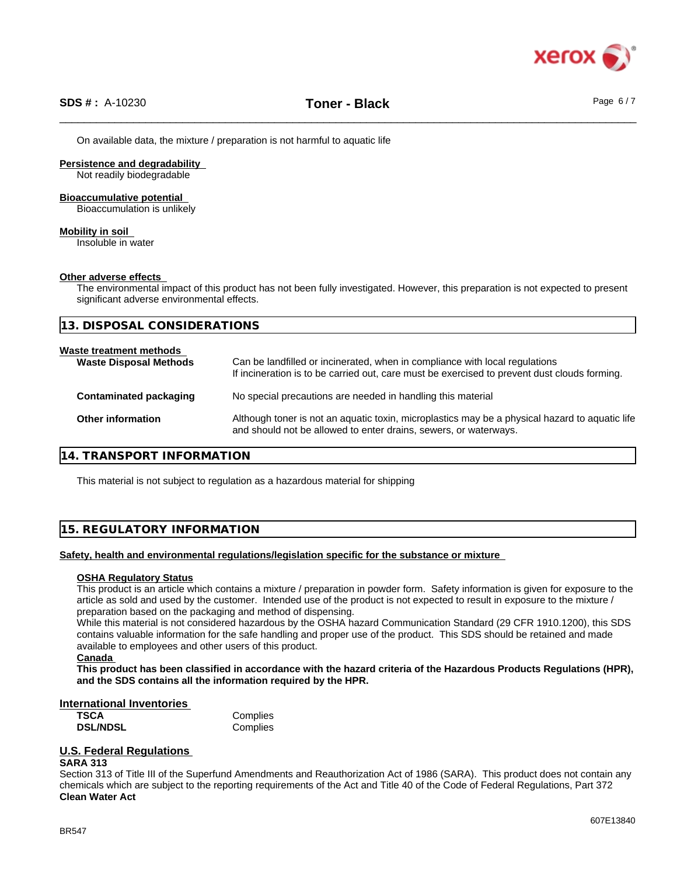

On available data, the mixture / preparation is not harmful to aquatic life

**Persistence and degradability**

Not readily biodegradable

#### **Bioaccumulative potential**

Bioaccumulation is unlikely

**Mobility in soil**

Insoluble in water

#### **Other adverse effects**

The environmental impact of this product has not been fully investigated. However, this preparation is not expected to present significant adverse environmental effects.

**13. DISPOSAL CONSIDERATIONS**

# **Waste treatment methods**

| <b>Waste Disposal Methods</b> | Can be landfilled or incinerated, when in compliance with local regulations<br>If incineration is to be carried out, care must be exercised to prevent dust clouds forming. |
|-------------------------------|-----------------------------------------------------------------------------------------------------------------------------------------------------------------------------|
| Contaminated packaging        | No special precautions are needed in handling this material                                                                                                                 |
| <b>Other information</b>      | Although toner is not an aquatic toxin, microplastics may be a physical hazard to aquatic life<br>and should not be allowed to enter drains, sewers, or waterways.          |

### **14. TRANSPORT INFORMATION**

This material is not subject to regulation as a hazardous material for shipping

# **15. REGULATORY INFORMATION**

#### **Safety, health and environmental regulations/legislation specific for the substance or mixture**

### **OSHA Regulatory Status**

This product is an article which contains a mixture / preparation in powder form. Safety information is given for exposure to the article as sold and used by the customer. Intended use of the product is not expected to result in exposure to the mixture / preparation based on the packaging and method of dispensing.

While this material is not considered hazardous by the OSHA hazard Communication Standard (29 CFR 1910.1200), this SDS contains valuable information for the safe handling and proper use of the product. This SDS should be retained and made available to employees and other users of this product.

This product has been classified in accordance with the hazard criteria of the Hazardous Products Regulations (HPR), **and the SDS contains all the information required by the HPR.**

#### **International Inventories**

**TSCA** Complies **DSL/NDSL** Complies

# **U.S. Federal Regulations**

**SARA 313**

Section 313 of Title III of the Superfund Amendments and Reauthorization Act of 1986 (SARA). This product does not contain any chemicals which are subject to the reporting requirements of the Act and Title 40 of the Code of Federal Regulations, Part 372 **Clean Water Act**

**Canada**